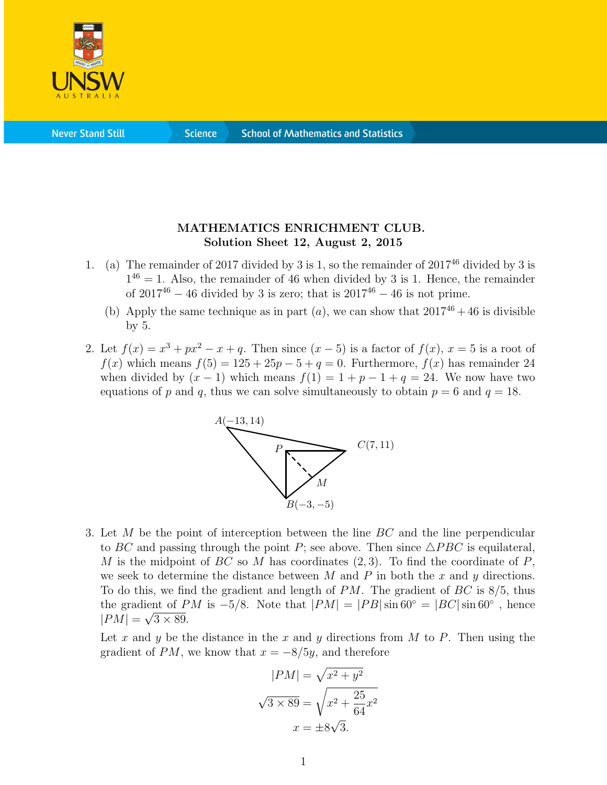

**Never Stand Still** 

**Science** 

## MATHEMATICS ENRICHMENT CLUB. Solution Sheet 12, August 2, 2015

- 1. (a) The remainder of 2017 divided by 3 is 1, so the remainder of  $2017^{46}$  divided by 3 is  $1^{46} = 1$ . Also, the remainder of 46 when divided by 3 is 1. Hence, the remainder of  $2017^{46} - 46$  divided by 3 is zero; that is  $2017^{46} - 46$  is not prime.
	- (b) Apply the same technique as in part  $(a)$ , we can show that  $2017^{46} + 46$  is divisible by 5.
- 2. Let  $f(x) = x^3 + px^2 x + q$ . Then since  $(x-5)$  is a factor of  $f(x)$ ,  $x = 5$  is a root of  $f(x)$  which means  $f(5) = 125 + 25p - 5 + q = 0$ . Furthermore,  $f(x)$  has remainder 24 when divided by  $(x - 1)$  which means  $f(1) = 1 + p - 1 + q = 24$ . We now have two equations of p and q, thus we can solve simultaneously to obtain  $p = 6$  and  $q = 18$ .



3. Let M be the point of interception between the line  $BC$  and the line perpendicular to BC and passing through the point P; see above. Then since  $\triangle PBC$  is equilateral, M is the midpoint of BC so M has coordinates  $(2, 3)$ . To find the coordinate of P, we seek to determine the distance between  $M$  and  $P$  in both the  $x$  and  $y$  directions. To do this, we find the gradient and length of  $PM$ . The gradient of  $BC$  is  $8/5$ , thus the gradient of PM is -5/8. Note that  $|PM| = |PB| \sin 60^\circ = |BC| \sin 60^\circ$ , hence  $|PM| = \sqrt{3 \times 89}.$ 

Let x and y be the distance in the x and y directions from M to P. Then using the gradient of PM, we know that  $x = -8/5y$ , and therefore

$$
|PM| = \sqrt{x^2 + y^2}
$$

$$
\sqrt{3 \times 89} = \sqrt{x^2 + \frac{25}{64}x^2}
$$

$$
x = \pm 8\sqrt{3}.
$$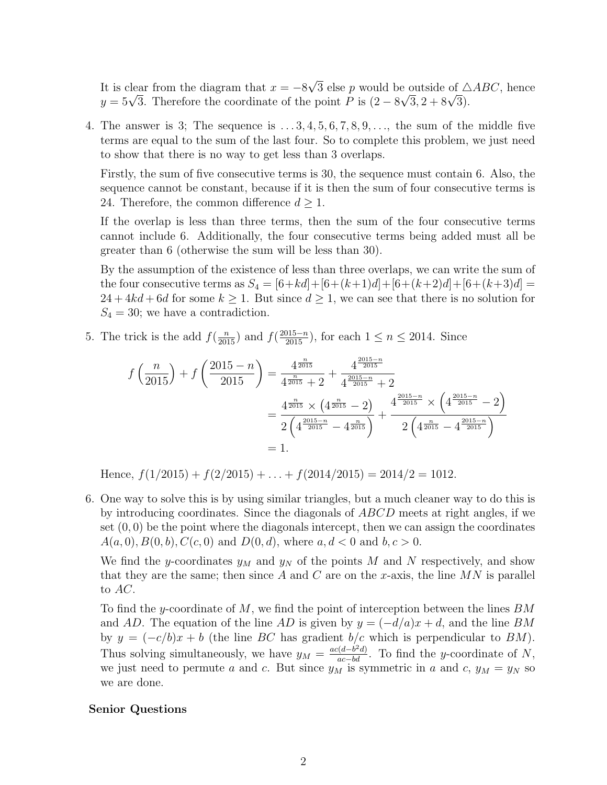It is clear from the diagram that  $x = -8\sqrt{3}$  else p would be outside of  $\triangle ABC$ , hence  $y = 5\sqrt{3}$ . Therefore the coordinate of the point P is  $(2 - 8\sqrt{3}, 2 + 8\sqrt{3})$ .

4. The answer is 3; The sequence is  $\dots$  3, 4, 5, 6, 7, 8, 9,  $\dots$ , the sum of the middle five terms are equal to the sum of the last four. So to complete this problem, we just need to show that there is no way to get less than 3 overlaps.

Firstly, the sum of five consecutive terms is 30, the sequence must contain 6. Also, the sequence cannot be constant, because if it is then the sum of four consecutive terms is 24. Therefore, the common difference  $d \geq 1$ .

If the overlap is less than three terms, then the sum of the four consecutive terms cannot include 6. Additionally, the four consecutive terms being added must all be greater than 6 (otherwise the sum will be less than 30).

By the assumption of the existence of less than three overlaps, we can write the sum of the four consecutive terms as  $S_4 = [6+kd]+[6+(k+1)d]+[6+(k+2)d]+[6+(k+3)d] =$  $24 + 4kd + 6d$  for some  $k \ge 1$ . But since  $d \ge 1$ , we can see that there is no solution for  $S_4 = 30$ ; we have a contradiction.

5. The trick is the add  $f(\frac{n}{2015})$  and  $f(\frac{2015-n}{2015})$ , for each  $1 \le n \le 2014$ . Since

$$
f\left(\frac{n}{2015}\right) + f\left(\frac{2015 - n}{2015}\right) = \frac{4^{\frac{n}{2015}}}{4^{\frac{n}{2015}} + 2} + \frac{4^{\frac{2015 - n}{2015}}}{4^{\frac{2015 - n}{2015}} + 2}
$$
  
= 
$$
\frac{4^{\frac{n}{2015}} \times \left(4^{\frac{n}{2015}} - 2\right)}{2\left(4^{\frac{2015 - n}{2015}} - 4^{\frac{2015 - n}{2015}}\right)} + \frac{4^{\frac{2015 - n}{2015}} \times \left(4^{\frac{2015 - n}{2015}} - 2\right)}{2\left(4^{\frac{n}{2015}} - 4^{\frac{2015 - n}{2015}}\right)}
$$
  
= 1.

Hence,  $f(1/2015) + f(2/2015) + \ldots + f(2014/2015) = 2014/2 = 1012$ .

6. One way to solve this is by using similar triangles, but a much cleaner way to do this is by introducing coordinates. Since the diagonals of ABCD meets at right angles, if we set  $(0, 0)$  be the point where the diagonals intercept, then we can assign the coordinates  $A(a, 0), B(0, b), C(c, 0)$  and  $D(0, d)$ , where  $a, d < 0$  and  $b, c > 0$ .

We find the y-coordinates  $y_M$  and  $y_N$  of the points M and N respectively, and show that they are the same; then since A and C are on the x-axis, the line  $MN$  is parallel to AC.

To find the y-coordinate of  $M$ , we find the point of interception between the lines  $BM$ and AD. The equation of the line AD is given by  $y = (-d/a)x + d$ , and the line BM by  $y = (-c/b)x + b$  (the line BC has gradient b/c which is perpendicular to BM). Thus solving simultaneously, we have  $y_M = \frac{ac(d-b^2d)}{ac-bd}$ . To find the y-coordinate of N, we just need to permute a and c. But since  $y_M$  is symmetric in a and c,  $y_M = y_N$  so we are done.

## Senior Questions